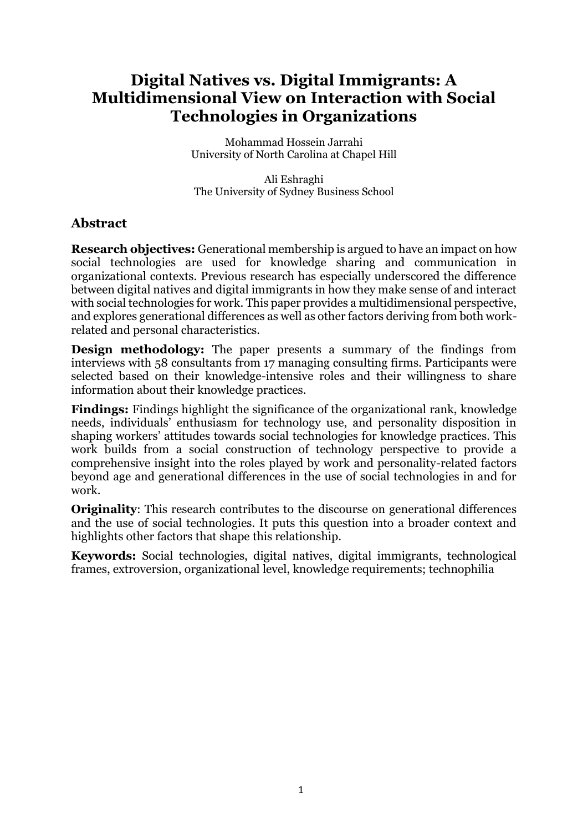# **Digital Natives vs. Digital Immigrants: A Multidimensional View on Interaction with Social Technologies in Organizations**

Mohammad Hossein Jarrahi University of North Carolina at Chapel Hill

Ali Eshraghi The University of Sydney Business School

# **Abstract**

**Research objectives:** Generational membership is argued to have an impact on how social technologies are used for knowledge sharing and communication in organizational contexts. Previous research has especially underscored the difference between digital natives and digital immigrants in how they make sense of and interact with social technologies for work. This paper provides a multidimensional perspective, and explores generational differences as well as other factors deriving from both workrelated and personal characteristics.

**Design methodology:** The paper presents a summary of the findings from interviews with 58 consultants from 17 managing consulting firms. Participants were selected based on their knowledge-intensive roles and their willingness to share information about their knowledge practices.

**Findings:** Findings highlight the significance of the organizational rank, knowledge needs, individuals' enthusiasm for technology use, and personality disposition in shaping workers' attitudes towards social technologies for knowledge practices. This work builds from a social construction of technology perspective to provide a comprehensive insight into the roles played by work and personality-related factors beyond age and generational differences in the use of social technologies in and for work.

**Originality:** This research contributes to the discourse on generational differences and the use of social technologies. It puts this question into a broader context and highlights other factors that shape this relationship.

**Keywords:** Social technologies, digital natives, digital immigrants, technological frames, extroversion, organizational level, knowledge requirements; technophilia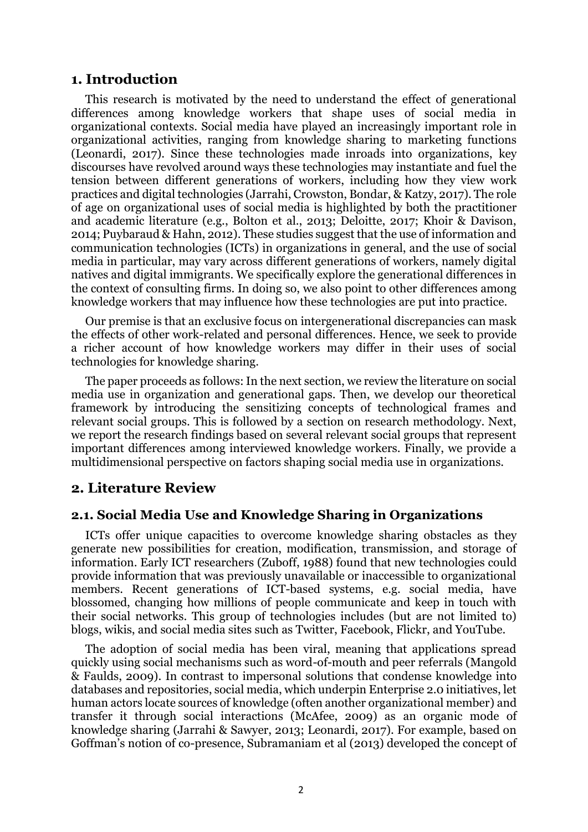### **1. Introduction**

This research is motivated by the need to understand the effect of generational differences among knowledge workers that shape uses of social media in organizational contexts. Social media have played an increasingly important role in organizational activities, ranging from knowledge sharing to marketing functions (Leonardi, 2017). Since these technologies made inroads into organizations, key discourses have revolved around ways these technologies may instantiate and fuel the tension between different generations of workers, including how they view work practices and digital technologies (Jarrahi, Crowston, Bondar, & Katzy, 2017). The role of age on organizational uses of social media is highlighted by both the practitioner and academic literature (e.g., Bolton et al., 2013; Deloitte, 2017; Khoir & Davison, 2014; Puybaraud & Hahn, 2012). These studies suggest that the use of information and communication technologies (ICTs) in organizations in general, and the use of social media in particular, may vary across different generations of workers, namely digital natives and digital immigrants. We specifically explore the generational differences in the context of consulting firms. In doing so, we also point to other differences among knowledge workers that may influence how these technologies are put into practice.

Our premise is that an exclusive focus on intergenerational discrepancies can mask the effects of other work-related and personal differences. Hence, we seek to provide a richer account of how knowledge workers may differ in their uses of social technologies for knowledge sharing.

The paper proceeds as follows: In the next section, we review the literature on social media use in organization and generational gaps. Then, we develop our theoretical framework by introducing the sensitizing concepts of technological frames and relevant social groups. This is followed by a section on research methodology. Next, we report the research findings based on several relevant social groups that represent important differences among interviewed knowledge workers. Finally, we provide a multidimensional perspective on factors shaping social media use in organizations.

### **2. Literature Review**

### **2.1. Social Media Use and Knowledge Sharing in Organizations**

ICTs offer unique capacities to overcome knowledge sharing obstacles as they generate new possibilities for creation, modification, transmission, and storage of information. Early ICT researchers (Zuboff, 1988) found that new technologies could provide information that was previously unavailable or inaccessible to organizational members. Recent generations of ICT-based systems, e.g. social media, have blossomed, changing how millions of people communicate and keep in touch with their social networks. This group of technologies includes (but are not limited to) blogs, wikis, and social media sites such as Twitter, Facebook, Flickr, and YouTube.

The adoption of social media has been viral, meaning that applications spread quickly using social mechanisms such as word-of-mouth and peer referrals (Mangold & Faulds, 2009). In contrast to impersonal solutions that condense knowledge into databases and repositories, social media, which underpin Enterprise 2.0 initiatives, let human actors locate sources of knowledge (often another organizational member) and transfer it through social interactions (McAfee, 2009) as an organic mode of knowledge sharing (Jarrahi & Sawyer, 2013; Leonardi, 2017). For example, based on Goffman's notion of co-presence, [Subramaniam](https://onlinelibrary.wiley.com/action/doSearch?ContribAuthorStored=Subramaniam%2C+Niran) et al (2013) developed the concept of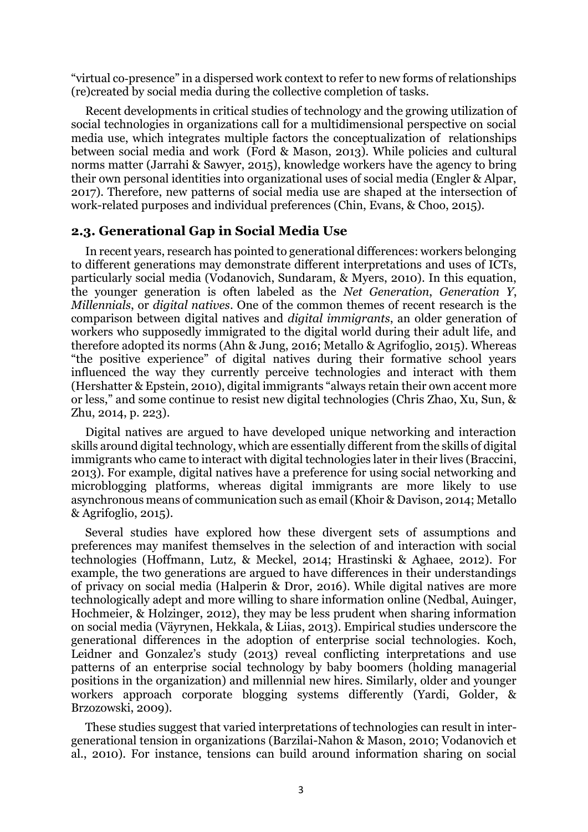"virtual co‐presence" in a dispersed work context to refer to new forms of relationships (re)created by social media during the collective completion of tasks.

Recent developments in critical studies of technology and the growing utilization of social technologies in organizations call for a multidimensional perspective on social media use, which integrates multiple factors the conceptualization of relationships between social media and work (Ford & Mason, 2013). While policies and cultural norms matter (Jarrahi & Sawyer, 2015), knowledge workers have the agency to bring their own personal identities into organizational uses of social media (Engler & Alpar, 2017). Therefore, new patterns of social media use are shaped at the intersection of work-related purposes and individual preferences (Chin, Evans, & Choo, 2015).

### **2.3. Generational Gap in Social Media Use**

In recent years, research has pointed to generational differences: workers belonging to different generations may demonstrate different interpretations and uses of ICTs, particularly social media (Vodanovich, Sundaram, & Myers, 2010). In this equation, the younger generation is often labeled as the *Net Generation*, *Generation Y*, *Millennials*, or *digital natives*. One of the common themes of recent research is the comparison between digital natives and *digital immigrants*, an older generation of workers who supposedly immigrated to the digital world during their adult life, and therefore adopted its norms (Ahn & Jung, 2016; Metallo & Agrifoglio, 2015). Whereas "the positive experience" of digital natives during their formative school years influenced the way they currently perceive technologies and interact with them (Hershatter & Epstein, 2010), digital immigrants "always retain their own accent more or less," and some continue to resist new digital technologies (Chris Zhao, Xu, Sun, & Zhu, 2014, p. 223).

Digital natives are argued to have developed unique networking and interaction skills around digital technology, which are essentially different from the skills of digital immigrants who came to interact with digital technologies later in their lives (Braccini, 2013). For example, digital natives have a preference for using social networking and microblogging platforms, whereas digital immigrants are more likely to use asynchronous means of communication such as email (Khoir & Davison, 2014; Metallo & Agrifoglio, 2015).

Several studies have explored how these divergent sets of assumptions and preferences may manifest themselves in the selection of and interaction with social technologies (Hoffmann, Lutz, & Meckel, 2014; Hrastinski & Aghaee, 2012). For example, the two generations are argued to have differences in their understandings of privacy on social media (Halperin & Dror, 2016). While digital natives are more technologically adept and more willing to share information online (Nedbal, Auinger, Hochmeier, & Holzinger, 2012), they may be less prudent when sharing information on social media (Väyrynen, Hekkala, & Liias, 2013). Empirical studies underscore the generational differences in the adoption of enterprise social technologies. Koch, Leidner and Gonzalez's study (2013) reveal conflicting interpretations and use patterns of an enterprise social technology by baby boomers (holding managerial positions in the organization) and millennial new hires. Similarly, older and younger workers approach corporate blogging systems differently (Yardi, Golder, & Brzozowski, 2009).

These studies suggest that varied interpretations of technologies can result in intergenerational tension in organizations (Barzilai-Nahon & Mason, 2010; Vodanovich et al., 2010). For instance, tensions can build around information sharing on social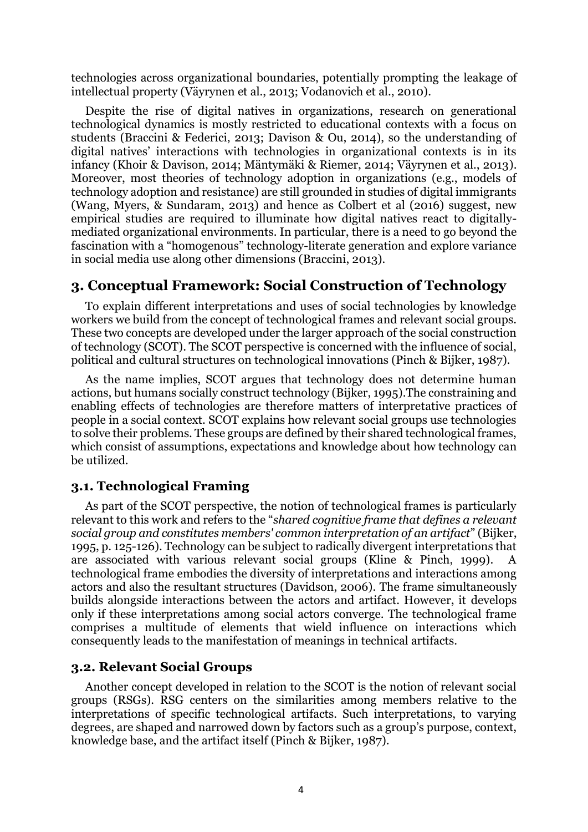technologies across organizational boundaries, potentially prompting the leakage of intellectual property (Väyrynen et al., 2013; Vodanovich et al., 2010).

Despite the rise of digital natives in organizations, research on generational technological dynamics is mostly restricted to educational contexts with a focus on students (Braccini & Federici, 2013; Davison & Ou, 2014), so the understanding of digital natives' interactions with technologies in organizational contexts is in its infancy (Khoir & Davison, 2014; Mäntymäki & Riemer, 2014; Väyrynen et al., 2013). Moreover, most theories of technology adoption in organizations (e.g., models of technology adoption and resistance) are still grounded in studies of digital immigrants (Wang, Myers, & Sundaram, 2013) and hence as Colbert et al (2016) suggest, new empirical studies are required to illuminate how digital natives react to digitallymediated organizational environments. In particular, there is a need to go beyond the fascination with a "homogenous" technology-literate generation and explore variance in social media use along other dimensions (Braccini, 2013).

# **3. Conceptual Framework: Social Construction of Technology**

To explain different interpretations and uses of social technologies by knowledge workers we build from the concept of technological frames and relevant social groups. These two concepts are developed under the larger approach of the social construction of technology (SCOT). The SCOT perspective is concerned with the influence of social, political and cultural structures on technological innovations (Pinch & Bijker, 1987).

As the name implies, SCOT argues that technology does not determine human actions, but humans socially construct technology (Bijker, 1995).The constraining and enabling effects of technologies are therefore matters of interpretative practices of people in a social context. SCOT explains how relevant social groups use technologies to solve their problems. These groups are defined by their shared technological frames, which consist of assumptions, expectations and knowledge about how technology can be utilized.

# **3.1. Technological Framing**

As part of the SCOT perspective, the notion of technological frames is particularly relevant to this work and refers to the "*shared cognitive frame that defines a relevant social group and constitutes members' common interpretation of an artifact*" (Bijker, 1995, p. 125-126). Technology can be subject to radically divergent interpretations that are associated with various relevant social groups (Kline & Pinch, 1999). A technological frame embodies the diversity of interpretations and interactions among actors and also the resultant structures (Davidson, 2006). The frame simultaneously builds alongside interactions between the actors and artifact. However, it develops only if these interpretations among social actors converge. The technological frame comprises a multitude of elements that wield influence on interactions which consequently leads to the manifestation of meanings in technical artifacts.

### **3.2. Relevant Social Groups**

Another concept developed in relation to the SCOT is the notion of relevant social groups (RSGs). RSG centers on the similarities among members relative to the interpretations of specific technological artifacts. Such interpretations, to varying degrees, are shaped and narrowed down by factors such as a group's purpose, context, knowledge base, and the artifact itself (Pinch & Bijker, 1987).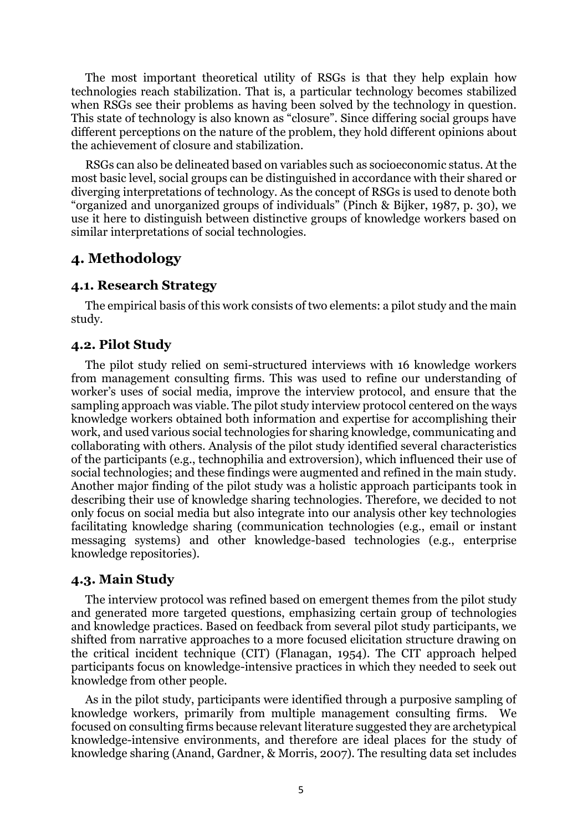The most important theoretical utility of RSGs is that they help explain how technologies reach stabilization. That is, a particular technology becomes stabilized when RSGs see their problems as having been solved by the technology in question. This state of technology is also known as "closure". Since differing social groups have different perceptions on the nature of the problem, they hold different opinions about the achievement of closure and stabilization.

RSGs can also be delineated based on variables such as socioeconomic status. At the most basic level, social groups can be distinguished in accordance with their shared or diverging interpretations of technology. As the concept of RSGs is used to denote both "organized and unorganized groups of individuals" (Pinch & Bijker, 1987, p. 30), we use it here to distinguish between distinctive groups of knowledge workers based on similar interpretations of social technologies.

# **4. Methodology**

#### **4.1. Research Strategy**

The empirical basis of this work consists of two elements: a pilot study and the main study.

### **4.2. Pilot Study**

The pilot study relied on semi-structured interviews with 16 knowledge workers from management consulting firms. This was used to refine our understanding of worker's uses of social media, improve the interview protocol, and ensure that the sampling approach was viable. The pilot study interview protocol centered on the ways knowledge workers obtained both information and expertise for accomplishing their work, and used various social technologies for sharing knowledge, communicating and collaborating with others. Analysis of the pilot study identified several characteristics of the participants (e.g., technophilia and extroversion), which influenced their use of social technologies; and these findings were augmented and refined in the main study. Another major finding of the pilot study was a holistic approach participants took in describing their use of knowledge sharing technologies. Therefore, we decided to not only focus on social media but also integrate into our analysis other key technologies facilitating knowledge sharing (communication technologies (e.g., email or instant messaging systems) and other knowledge-based technologies (e.g., enterprise knowledge repositories).

#### **4.3. Main Study**

The interview protocol was refined based on emergent themes from the pilot study and generated more targeted questions, emphasizing certain group of technologies and knowledge practices. Based on feedback from several pilot study participants, we shifted from narrative approaches to a more focused elicitation structure drawing on the critical incident technique (CIT) (Flanagan, 1954). The CIT approach helped participants focus on knowledge-intensive practices in which they needed to seek out knowledge from other people.

As in the pilot study, participants were identified through a purposive sampling of knowledge workers, primarily from multiple management consulting firms. We focused on consulting firms because relevant literature suggested they are archetypical knowledge-intensive environments, and therefore are ideal places for the study of knowledge sharing (Anand, Gardner, & Morris, 2007). The resulting data set includes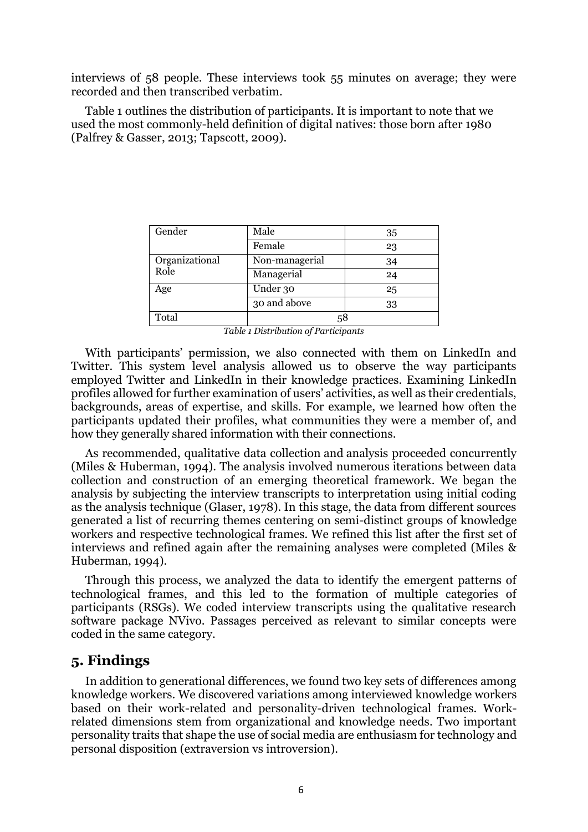interviews of 58 people. These interviews took 55 minutes on average; they were recorded and then transcribed verbatim.

Table 1 outlines the distribution of participants. It is important to note that we used the most commonly-held definition of digital natives: those born after 1980 (Palfrey & Gasser, 2013; Tapscott, 2009).

| Gender         | Male           | 35 |
|----------------|----------------|----|
|                | Female         | 23 |
| Organizational | Non-managerial | 34 |
| Role           | Managerial     | 24 |
| Age            | Under 30       | 25 |
|                | 30 and above   | 33 |
| Total          | 58             |    |

*Table 1 Distribution of Participants*

With participants' permission, we also connected with them on LinkedIn and Twitter. This system level analysis allowed us to observe the way participants employed Twitter and LinkedIn in their knowledge practices. Examining LinkedIn profiles allowed for further examination of users' activities, as well as their credentials, backgrounds, areas of expertise, and skills. For example, we learned how often the participants updated their profiles, what communities they were a member of, and how they generally shared information with their connections.

As recommended, qualitative data collection and analysis proceeded concurrently (Miles & Huberman, 1994). The analysis involved numerous iterations between data collection and construction of an emerging theoretical framework. We began the analysis by subjecting the interview transcripts to interpretation using initial coding as the analysis technique (Glaser, 1978). In this stage, the data from different sources generated a list of recurring themes centering on semi-distinct groups of knowledge workers and respective technological frames. We refined this list after the first set of interviews and refined again after the remaining analyses were completed (Miles & Huberman, 1994).

Through this process, we analyzed the data to identify the emergent patterns of technological frames, and this led to the formation of multiple categories of participants (RSGs). We coded interview transcripts using the qualitative research software package NVivo. Passages perceived as relevant to similar concepts were coded in the same category.

### **5. Findings**

In addition to generational differences, we found two key sets of differences among knowledge workers. We discovered variations among interviewed knowledge workers based on their work-related and personality-driven technological frames. Workrelated dimensions stem from organizational and knowledge needs. Two important personality traits that shape the use of social media are enthusiasm for technology and personal disposition (extraversion vs introversion).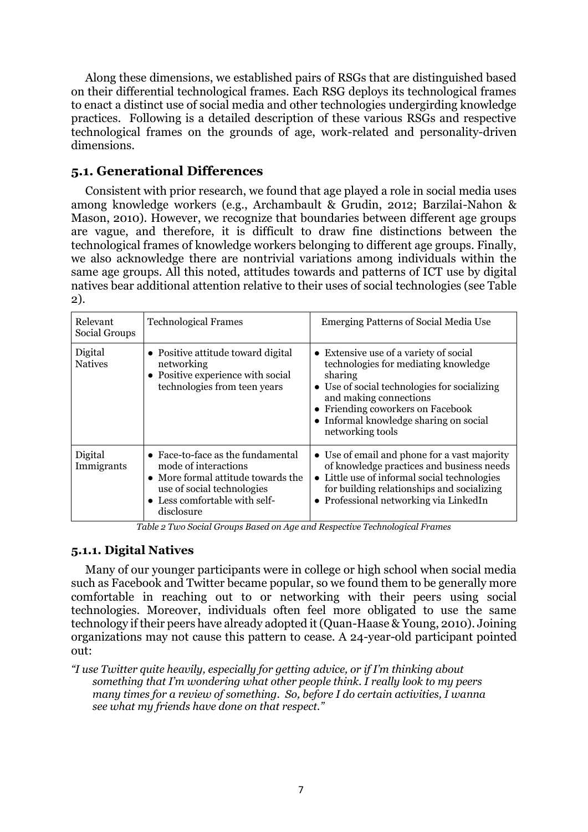Along these dimensions, we established pairs of RSGs that are distinguished based on their differential technological frames. Each RSG deploys its technological frames to enact a distinct use of social media and other technologies undergirding knowledge practices. Following is a detailed description of these various RSGs and respective technological frames on the grounds of age, work-related and personality-driven dimensions.

### **5.1. Generational Differences**

Consistent with prior research, we found that age played a role in social media uses among knowledge workers (e.g., Archambault & Grudin, 2012; Barzilai-Nahon & Mason, 2010). However, we recognize that boundaries between different age groups are vague, and therefore, it is difficult to draw fine distinctions between the technological frames of knowledge workers belonging to different age groups. Finally, we also acknowledge there are nontrivial variations among individuals within the same age groups. All this noted, attitudes towards and patterns of ICT use by digital natives bear additional attention relative to their uses of social technologies (see Table 2).

| Relevant<br>Social Groups | <b>Technological Frames</b>                                                                                                                                                  | <b>Emerging Patterns of Social Media Use</b>                                                                                                                                                                                                                       |
|---------------------------|------------------------------------------------------------------------------------------------------------------------------------------------------------------------------|--------------------------------------------------------------------------------------------------------------------------------------------------------------------------------------------------------------------------------------------------------------------|
| Digital<br><b>Natives</b> | • Positive attitude toward digital<br>networking<br>• Positive experience with social<br>technologies from teen years                                                        | • Extensive use of a variety of social<br>technologies for mediating knowledge<br>sharing<br>• Use of social technologies for socializing<br>and making connections<br>Friending coworkers on Facebook<br>Informal knowledge sharing on social<br>networking tools |
| Digital<br>Immigrants     | • Face-to-face as the fundamental<br>mode of interactions<br>• More formal attitude towards the<br>use of social technologies<br>• Less comfortable with self-<br>disclosure | • Use of email and phone for a vast majority<br>of knowledge practices and business needs<br>• Little use of informal social technologies<br>for building relationships and socializing<br>• Professional networking via LinkedIn                                  |

*Table 2 Two Social Groups Based on Age and Respective Technological Frames*

# **5.1.1. Digital Natives**

Many of our younger participants were in college or high school when social media such as Facebook and Twitter became popular, so we found them to be generally more comfortable in reaching out to or networking with their peers using social technologies. Moreover, individuals often feel more obligated to use the same technology if their peers have already adopted it (Quan-Haase & Young, 2010). Joining organizations may not cause this pattern to cease. A 24-year-old participant pointed out:

*"I use Twitter quite heavily, especially for getting advice, or if I'm thinking about something that I'm wondering what other people think. I really look to my peers many times for a review of something. So, before I do certain activities, I wanna see what my friends have done on that respect."*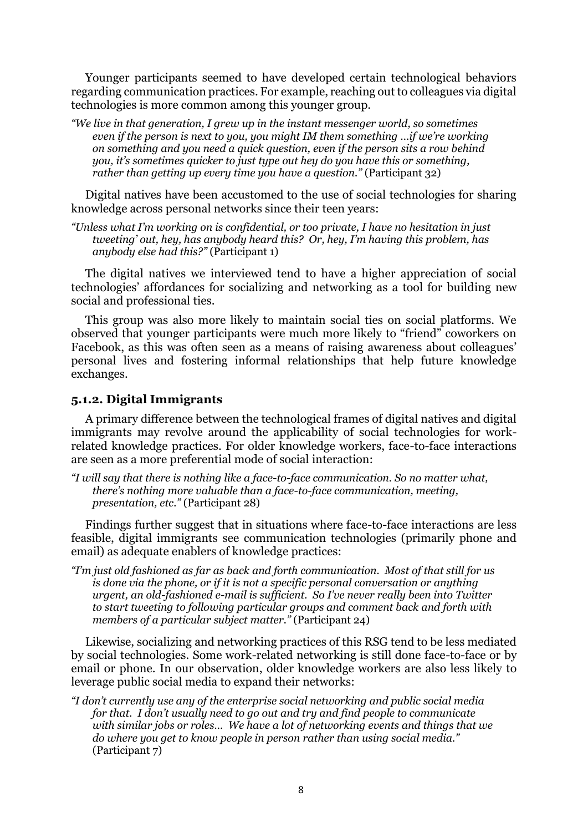Younger participants seemed to have developed certain technological behaviors regarding communication practices. For example, reaching out to colleagues via digital technologies is more common among this younger group.

*"We live in that generation, I grew up in the instant messenger world, so sometimes even if the person is next to you, you might IM them something …if we're working on something and you need a quick question, even if the person sits a row behind you, it's sometimes quicker to just type out hey do you have this or something, rather than getting up every time you have a question."* (Participant 32)

Digital natives have been accustomed to the use of social technologies for sharing knowledge across personal networks since their teen years:

*"Unless what I'm working on is confidential, or too private, I have no hesitation in just tweeting' out, hey, has anybody heard this? Or, hey, I'm having this problem, has anybody else had this?"* (Participant 1)

The digital natives we interviewed tend to have a higher appreciation of social technologies' affordances for socializing and networking as a tool for building new social and professional ties.

This group was also more likely to maintain social ties on social platforms. We observed that younger participants were much more likely to "friend" coworkers on Facebook, as this was often seen as a means of raising awareness about colleagues' personal lives and fostering informal relationships that help future knowledge exchanges.

### **5.1.2. Digital Immigrants**

A primary difference between the technological frames of digital natives and digital immigrants may revolve around the applicability of social technologies for workrelated knowledge practices. For older knowledge workers, face-to-face interactions are seen as a more preferential mode of social interaction:

*"I will say that there is nothing like a face-to-face communication. So no matter what, there's nothing more valuable than a face-to-face communication, meeting, presentation, etc."* (Participant 28)

Findings further suggest that in situations where face-to-face interactions are less feasible, digital immigrants see communication technologies (primarily phone and email) as adequate enablers of knowledge practices:

*"I'm just old fashioned as far as back and forth communication. Most of that still for us is done via the phone, or if it is not a specific personal conversation or anything urgent, an old-fashioned e-mail is sufficient. So I've never really been into Twitter to start tweeting to following particular groups and comment back and forth with members of a particular subject matter."* (Participant 24)

Likewise, socializing and networking practices of this RSG tend to be less mediated by social technologies. Some work-related networking is still done face-to-face or by email or phone. In our observation, older knowledge workers are also less likely to leverage public social media to expand their networks:

*"I don't currently use any of the enterprise social networking and public social media for that. I don't usually need to go out and try and find people to communicate with similar jobs or roles… We have a lot of networking events and things that we do where you get to know people in person rather than using social media."*  (Participant 7)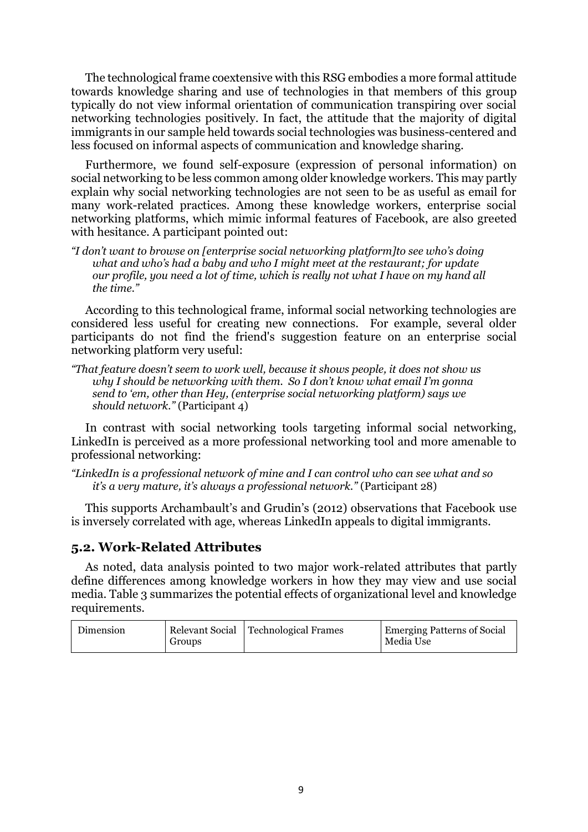The technological frame coextensive with this RSG embodies a more formal attitude towards knowledge sharing and use of technologies in that members of this group typically do not view informal orientation of communication transpiring over social networking technologies positively. In fact, the attitude that the majority of digital immigrants in our sample held towards social technologies was business-centered and less focused on informal aspects of communication and knowledge sharing.

Furthermore, we found self-exposure (expression of personal information) on social networking to be less common among older knowledge workers. This may partly explain why social networking technologies are not seen to be as useful as email for many work-related practices. Among these knowledge workers, enterprise social networking platforms, which mimic informal features of Facebook, are also greeted with hesitance. A participant pointed out:

*"I don't want to browse on [enterprise social networking platform]to see who's doing what and who's had a baby and who I might meet at the restaurant; for update our profile, you need a lot of time, which is really not what I have on my hand all the time."* 

According to this technological frame, informal social networking technologies are considered less useful for creating new connections. For example, several older participants do not find the friend's suggestion feature on an enterprise social networking platform very useful:

*"That feature doesn't seem to work well, because it shows people, it does not show us why I should be networking with them. So I don't know what email I'm gonna send to 'em, other than Hey, (enterprise social networking platform) says we should network."* (Participant 4)

In contrast with social networking tools targeting informal social networking, LinkedIn is perceived as a more professional networking tool and more amenable to professional networking:

*"LinkedIn is a professional network of mine and I can control who can see what and so it's a very mature, it's always a professional network."* (Participant 28)

This supports Archambault's and Grudin's (2012) observations that Facebook use is inversely correlated with age, whereas LinkedIn appeals to digital immigrants.

# **5.2. Work-Related Attributes**

As noted, data analysis pointed to two major work-related attributes that partly define differences among knowledge workers in how they may view and use social media. Table 3 summarizes the potential effects of organizational level and knowledge requirements.

| Dimension<br>Groups | Relevant Social   Technological Frames | <b>Emerging Patterns of Social</b><br>Media Use |
|---------------------|----------------------------------------|-------------------------------------------------|
|---------------------|----------------------------------------|-------------------------------------------------|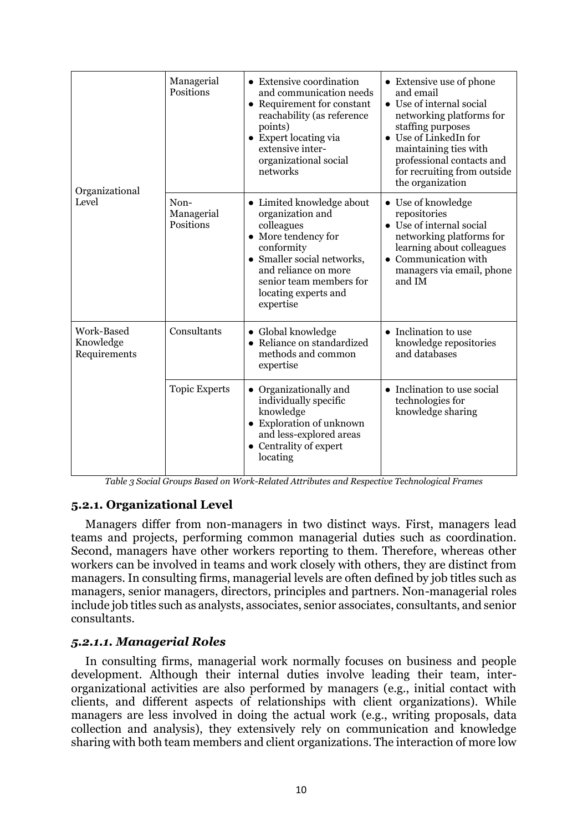| Organizational<br>Level                 | Managerial<br>Positions         | • Extensive coordination<br>and communication needs<br>• Requirement for constant<br>reachability (as reference<br>points)<br>• Expert locating via<br>extensive inter-<br>organizational social<br>networks           | • Extensive use of phone<br>and email<br>• Use of internal social<br>networking platforms for<br>staffing purposes<br>• Use of LinkedIn for<br>maintaining ties with<br>professional contacts and<br>for recruiting from outside<br>the organization |
|-----------------------------------------|---------------------------------|------------------------------------------------------------------------------------------------------------------------------------------------------------------------------------------------------------------------|------------------------------------------------------------------------------------------------------------------------------------------------------------------------------------------------------------------------------------------------------|
|                                         | Non-<br>Managerial<br>Positions | • Limited knowledge about<br>organization and<br>colleagues<br>• More tendency for<br>conformity<br>• Smaller social networks,<br>and reliance on more<br>senior team members for<br>locating experts and<br>expertise | • Use of knowledge<br>repositories<br>• Use of internal social<br>networking platforms for<br>learning about colleagues<br>Communication with<br>managers via email, phone<br>and IM                                                                 |
| Work-Based<br>Knowledge<br>Requirements | Consultants                     | • Global knowledge<br>• Reliance on standardized<br>methods and common<br>expertise                                                                                                                                    | • Inclination to use<br>knowledge repositories<br>and databases                                                                                                                                                                                      |
|                                         | <b>Topic Experts</b>            | Organizationally and<br>individually specific<br>knowledge<br>• Exploration of unknown<br>and less-explored areas<br>• Centrality of expert<br>locating                                                                | • Inclination to use social<br>technologies for<br>knowledge sharing                                                                                                                                                                                 |

*Table 3 Social Groups Based on Work-Related Attributes and Respective Technological Frames*

# **5.2.1. Organizational Level**

Managers differ from non-managers in two distinct ways. First, managers lead teams and projects, performing common managerial duties such as coordination. Second, managers have other workers reporting to them. Therefore, whereas other workers can be involved in teams and work closely with others, they are distinct from managers. In consulting firms, managerial levels are often defined by job titles such as managers, senior managers, directors, principles and partners. Non-managerial roles include job titles such as analysts, associates, senior associates, consultants, and senior consultants.

# *5.2.1.1. Managerial Roles*

In consulting firms, managerial work normally focuses on business and people development. Although their internal duties involve leading their team, interorganizational activities are also performed by managers (e.g., initial contact with clients, and different aspects of relationships with client organizations). While managers are less involved in doing the actual work (e.g., writing proposals, data collection and analysis), they extensively rely on communication and knowledge sharing with both team members and client organizations. The interaction of more low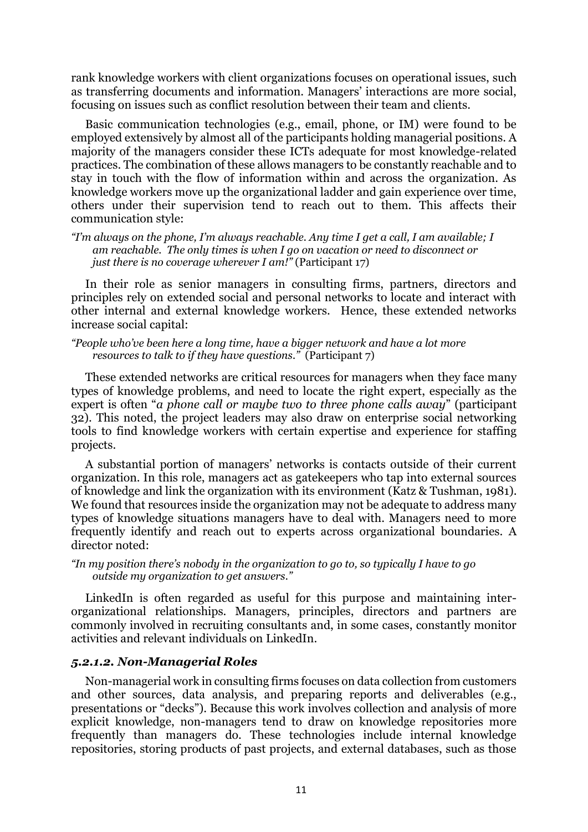rank knowledge workers with client organizations focuses on operational issues, such as transferring documents and information. Managers' interactions are more social, focusing on issues such as conflict resolution between their team and clients.

Basic communication technologies (e.g., email, phone, or IM) were found to be employed extensively by almost all of the participants holding managerial positions. A majority of the managers consider these ICTs adequate for most knowledge-related practices. The combination of these allows managers to be constantly reachable and to stay in touch with the flow of information within and across the organization. As knowledge workers move up the organizational ladder and gain experience over time, others under their supervision tend to reach out to them. This affects their communication style:

*"I'm always on the phone, I'm always reachable. Any time I get a call, I am available; I am reachable. The only times is when I go on vacation or need to disconnect or just there is no coverage wherever I am!"* (Participant 17)

In their role as senior managers in consulting firms, partners, directors and principles rely on extended social and personal networks to locate and interact with other internal and external knowledge workers. Hence, these extended networks increase social capital:

*"People who've been here a long time, have a bigger network and have a lot more resources to talk to if they have questions."* (Participant 7)

These extended networks are critical resources for managers when they face many types of knowledge problems, and need to locate the right expert, especially as the expert is often "*a phone call or maybe two to three phone calls away*" (participant 32). This noted, the project leaders may also draw on enterprise social networking tools to find knowledge workers with certain expertise and experience for staffing projects.

A substantial portion of managers' networks is contacts outside of their current organization. In this role, managers act as gatekeepers who tap into external sources of knowledge and link the organization with its environment (Katz & Tushman, 1981). We found that resources inside the organization may not be adequate to address many types of knowledge situations managers have to deal with. Managers need to more frequently identify and reach out to experts across organizational boundaries. A director noted:

*"In my position there's nobody in the organization to go to, so typically I have to go outside my organization to get answers."*

LinkedIn is often regarded as useful for this purpose and maintaining interorganizational relationships. Managers, principles, directors and partners are commonly involved in recruiting consultants and, in some cases, constantly monitor activities and relevant individuals on LinkedIn.

#### *5.2.1.2. Non-Managerial Roles*

Non-managerial work in consulting firms focuses on data collection from customers and other sources, data analysis, and preparing reports and deliverables (e.g., presentations or "decks"). Because this work involves collection and analysis of more explicit knowledge, non-managers tend to draw on knowledge repositories more frequently than managers do. These technologies include internal knowledge repositories, storing products of past projects, and external databases, such as those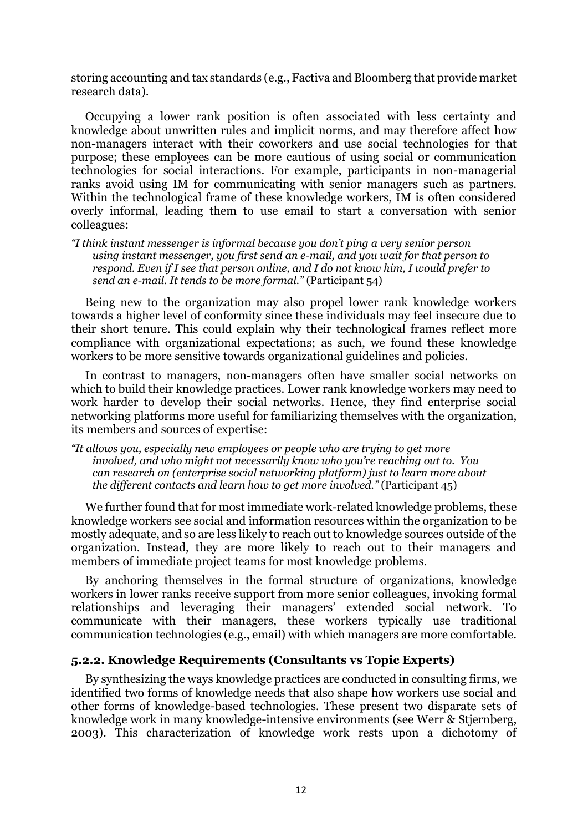storing accounting and tax standards (e.g., Factiva and Bloomberg that provide market research data).

Occupying a lower rank position is often associated with less certainty and knowledge about unwritten rules and implicit norms, and may therefore affect how non-managers interact with their coworkers and use social technologies for that purpose; these employees can be more cautious of using social or communication technologies for social interactions. For example, participants in non-managerial ranks avoid using IM for communicating with senior managers such as partners. Within the technological frame of these knowledge workers, IM is often considered overly informal, leading them to use email to start a conversation with senior colleagues:

*"I think instant messenger is informal because you don't ping a very senior person using instant messenger, you first send an e-mail, and you wait for that person to respond. Even if I see that person online, and I do not know him, I would prefer to send an e-mail. It tends to be more formal."* (Participant 54)

Being new to the organization may also propel lower rank knowledge workers towards a higher level of conformity since these individuals may feel insecure due to their short tenure. This could explain why their technological frames reflect more compliance with organizational expectations; as such, we found these knowledge workers to be more sensitive towards organizational guidelines and policies.

In contrast to managers, non-managers often have smaller social networks on which to build their knowledge practices. Lower rank knowledge workers may need to work harder to develop their social networks. Hence, they find enterprise social networking platforms more useful for familiarizing themselves with the organization, its members and sources of expertise:

*"It allows you, especially new employees or people who are trying to get more involved, and who might not necessarily know who you're reaching out to. You can research on (enterprise social networking platform) just to learn more about the different contacts and learn how to get more involved."* (Participant 45)

We further found that for most immediate work-related knowledge problems, these knowledge workers see social and information resources within the organization to be mostly adequate, and so are less likely to reach out to knowledge sources outside of the organization. Instead, they are more likely to reach out to their managers and members of immediate project teams for most knowledge problems.

By anchoring themselves in the formal structure of organizations, knowledge workers in lower ranks receive support from more senior colleagues, invoking formal relationships and leveraging their managers' extended social network. To communicate with their managers, these workers typically use traditional communication technologies (e.g., email) with which managers are more comfortable.

### **5.2.2. Knowledge Requirements (Consultants vs Topic Experts)**

By synthesizing the ways knowledge practices are conducted in consulting firms, we identified two forms of knowledge needs that also shape how workers use social and other forms of knowledge-based technologies. These present two disparate sets of knowledge work in many knowledge-intensive environments (see Werr & Stjernberg, 2003). This characterization of knowledge work rests upon a dichotomy of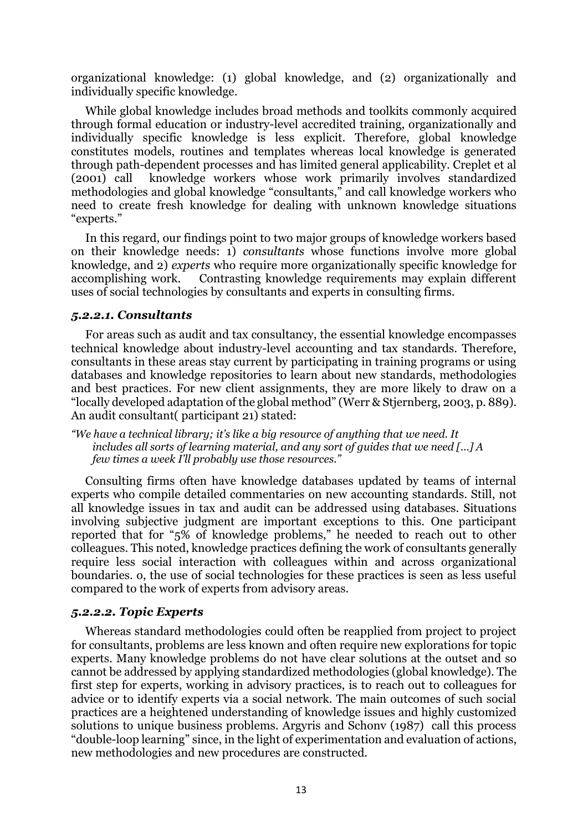organizational knowledge: (1) global knowledge, and (2) organizationally and individually specific knowledge.

While global knowledge includes broad methods and toolkits commonly acquired through formal education or industry-level accredited training, organizationally and individually specific knowledge is less explicit. Therefore, global knowledge constitutes models, routines and templates whereas local knowledge is generated through path-dependent processes and has limited general applicability. Creplet et al (2001) call knowledge workers whose work primarily involves standardized methodologies and global knowledge "consultants," and call knowledge workers who need to create fresh knowledge for dealing with unknown knowledge situations "experts."

In this regard, our findings point to two major groups of knowledge workers based on their knowledge needs: 1) *consultants* whose functions involve more global knowledge, and 2) *experts* who require more organizationally specific knowledge for accomplishing work. Contrasting knowledge requirements may explain different uses of social technologies by consultants and experts in consulting firms.

#### *5.2.2.1. Consultants*

For areas such as audit and tax consultancy, the essential knowledge encompasses technical knowledge about industry-level accounting and tax standards. Therefore, consultants in these areas stay current by participating in training programs or using databases and knowledge repositories to learn about new standards, methodologies and best practices. For new client assignments, they are more likely to draw on a "locally developed adaptation of the global method" (Werr & Stjernberg, 2003, p. 889). An audit consultant( participant 21) stated:

*"We have a technical library; it's like a big resource of anything that we need. It includes all sorts of learning material, and any sort of guides that we need [...] A few times a week I'll probably use those resources."*

Consulting firms often have knowledge databases updated by teams of internal experts who compile detailed commentaries on new accounting standards. Still, not all knowledge issues in tax and audit can be addressed using databases. Situations involving subjective judgment are important exceptions to this. One participant reported that for "5% of knowledge problems," he needed to reach out to other colleagues. This noted, knowledge practices defining the work of consultants generally require less social interaction with colleagues within and across organizational boundaries. o, the use of social technologies for these practices is seen as less useful compared to the work of experts from advisory areas.

#### *5.2.2.2. Topic Experts*

Whereas standard methodologies could often be reapplied from project to project for consultants, problems are less known and often require new explorations for topic experts. Many knowledge problems do not have clear solutions at the outset and so cannot be addressed by applying standardized methodologies (global knowledge). The first step for experts, working in advisory practices, is to reach out to colleagues for advice or to identify experts via a social network. The main outcomes of such social practices are a heightened understanding of knowledge issues and highly customized solutions to unique business problems. Argyris and Schonv (1987) call this process "double-loop learning" since, in the light of experimentation and evaluation of actions, new methodologies and new procedures are constructed.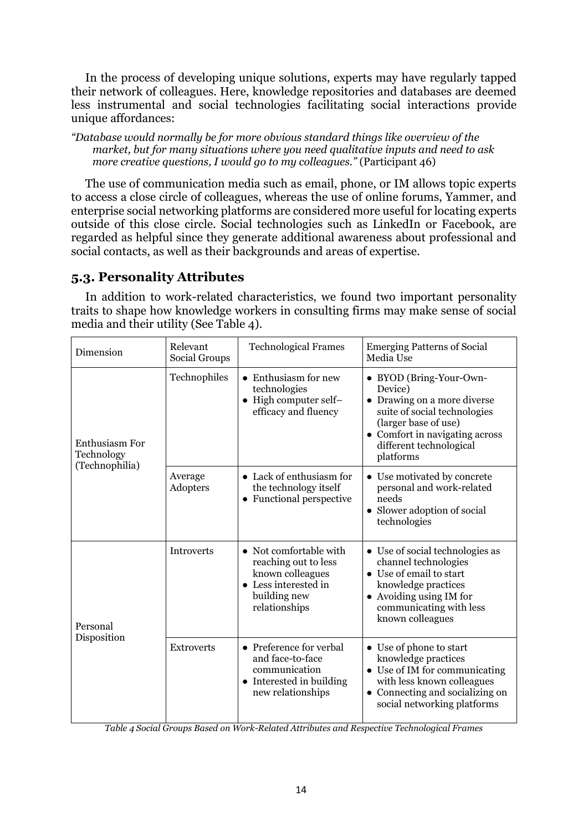In the process of developing unique solutions, experts may have regularly tapped their network of colleagues. Here, knowledge repositories and databases are deemed less instrumental and social technologies facilitating social interactions provide unique affordances:

*"Database would normally be for more obvious standard things like overview of the market, but for many situations where you need qualitative inputs and need to ask more creative questions, I would go to my colleagues."* (Participant 46)

The use of communication media such as email, phone, or IM allows topic experts to access a close circle of colleagues, whereas the use of online forums, Yammer, and enterprise social networking platforms are considered more useful for locating experts outside of this close circle. Social technologies such as LinkedIn or Facebook, are regarded as helpful since they generate additional awareness about professional and social contacts, as well as their backgrounds and areas of expertise.

# **5.3. Personality Attributes**

In addition to work-related characteristics, we found two important personality traits to shape how knowledge workers in consulting firms may make sense of social media and their utility (See Table 4).

| Dimension                                      | Relevant<br>Social Groups | <b>Technological Frames</b>                                                                                                 | <b>Emerging Patterns of Social</b><br>Media Use                                                                                                                                                     |
|------------------------------------------------|---------------------------|-----------------------------------------------------------------------------------------------------------------------------|-----------------------------------------------------------------------------------------------------------------------------------------------------------------------------------------------------|
| Enthusiasm For<br>Technology<br>(Technophilia) | Technophiles              | • Enthusiasm for new<br>technologies<br>• High computer self-<br>efficacy and fluency                                       | • BYOD (Bring-Your-Own-<br>Device)<br>• Drawing on a more diverse<br>suite of social technologies<br>(larger base of use)<br>• Comfort in navigating across<br>different technological<br>platforms |
|                                                | Average<br>Adopters       | • Lack of enthusiasm for<br>the technology itself<br>• Functional perspective                                               | • Use motivated by concrete<br>personal and work-related<br>needs<br>• Slower adoption of social<br>technologies                                                                                    |
| Personal<br>Disposition                        | <b>Introverts</b>         | • Not comfortable with<br>reaching out to less<br>known colleagues<br>• Less interested in<br>building new<br>relationships | • Use of social technologies as<br>channel technologies<br>• Use of email to start<br>knowledge practices<br>• Avoiding using IM for<br>communicating with less<br>known colleagues                 |
|                                                | <b>Extroverts</b>         | • Preference for verbal<br>and face-to-face<br>communication<br>• Interested in building<br>new relationships               | • Use of phone to start<br>knowledge practices<br>$\bullet~$ Use of IM for communicating<br>with less known colleagues<br>• Connecting and socializing on<br>social networking platforms            |

*Table 4 Social Groups Based on Work-Related Attributes and Respective Technological Frames*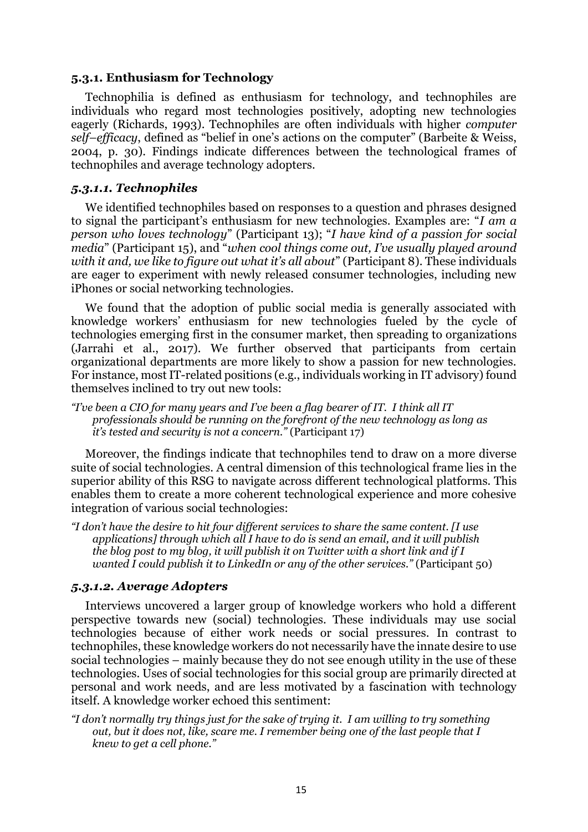#### **5.3.1. Enthusiasm for Technology**

Technophilia is defined as enthusiasm for technology, and technophiles are individuals who regard most technologies positively, adopting new technologies eagerly (Richards, 1993). Technophiles are often individuals with higher *computer self–efficacy*, defined as "belief in one's actions on the computer" (Barbeite & Weiss, 2004, p. 30). Findings indicate differences between the technological frames of technophiles and average technology adopters.

#### *5.3.1.1. Technophiles*

We identified technophiles based on responses to a question and phrases designed to signal the participant's enthusiasm for new technologies. Examples are: "*I am a person who loves technology*" (Participant 13); "*I have kind of a passion for social media*" (Participant 15), and "*when cool things come out, I've usually played around with it and, we like to figure out what it's all about*" (Participant 8). These individuals are eager to experiment with newly released consumer technologies, including new iPhones or social networking technologies.

We found that the adoption of public social media is generally associated with knowledge workers' enthusiasm for new technologies fueled by the cycle of technologies emerging first in the consumer market, then spreading to organizations (Jarrahi et al., 2017). We further observed that participants from certain organizational departments are more likely to show a passion for new technologies. For instance, most IT-related positions (e.g., individuals working in IT advisory) found themselves inclined to try out new tools:

*"I've been a CIO for many years and I've been a flag bearer of IT. I think all IT professionals should be running on the forefront of the new technology as long as it's tested and security is not a concern."* (Participant 17)

Moreover, the findings indicate that technophiles tend to draw on a more diverse suite of social technologies. A central dimension of this technological frame lies in the superior ability of this RSG to navigate across different technological platforms. This enables them to create a more coherent technological experience and more cohesive integration of various social technologies:

*"I don't have the desire to hit four different services to share the same content. [I use applications] through which all I have to do is send an email, and it will publish the blog post to my blog, it will publish it on Twitter with a short link and if I wanted I could publish it to LinkedIn or any of the other services."* (Participant 50)

### *5.3.1.2. Average Adopters*

Interviews uncovered a larger group of knowledge workers who hold a different perspective towards new (social) technologies. These individuals may use social technologies because of either work needs or social pressures. In contrast to technophiles, these knowledge workers do not necessarily have the innate desire to use social technologies – mainly because they do not see enough utility in the use of these technologies. Uses of social technologies for this social group are primarily directed at personal and work needs, and are less motivated by a fascination with technology itself. A knowledge worker echoed this sentiment:

*"I don't normally try things just for the sake of trying it. I am willing to try something out, but it does not, like, scare me. I remember being one of the last people that I knew to get a cell phone."*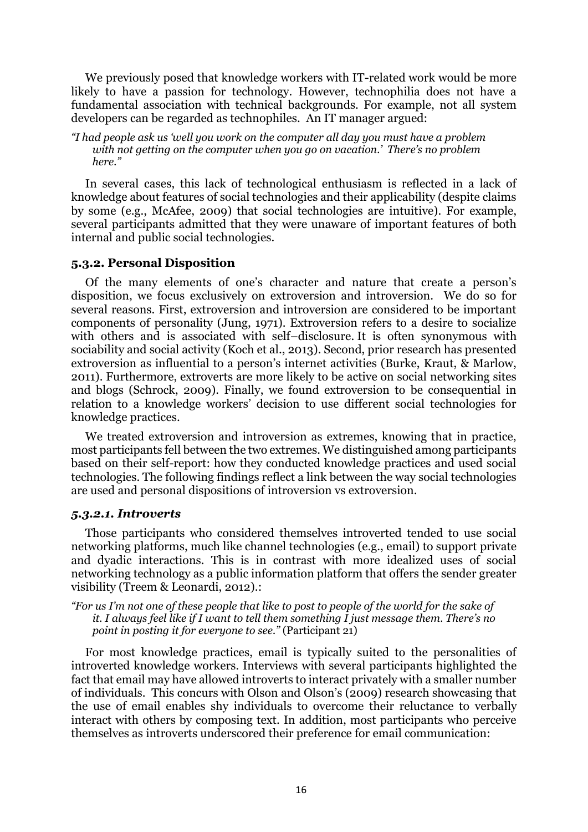We previously posed that knowledge workers with IT-related work would be more likely to have a passion for technology. However, technophilia does not have a fundamental association with technical backgrounds. For example, not all system developers can be regarded as technophiles. An IT manager argued:

*"I had people ask us 'well you work on the computer all day you must have a problem with not getting on the computer when you go on vacation.' There's no problem here."*

In several cases, this lack of technological enthusiasm is reflected in a lack of knowledge about features of social technologies and their applicability (despite claims by some (e.g., McAfee, 2009) that social technologies are intuitive). For example, several participants admitted that they were unaware of important features of both internal and public social technologies.

#### **5.3.2. Personal Disposition**

Of the many elements of one's character and nature that create a person's disposition, we focus exclusively on extroversion and introversion. We do so for several reasons. First, extroversion and introversion are considered to be important components of personality (Jung, 1971). Extroversion refers to a desire to socialize with others and is associated with self–disclosure. It is often synonymous with sociability and social activity (Koch et al., 2013). Second, prior research has presented extroversion as influential to a person's internet activities (Burke, Kraut, & Marlow, 2011). Furthermore, extroverts are more likely to be active on social networking sites and blogs (Schrock, 2009). Finally, we found extroversion to be consequential in relation to a knowledge workers' decision to use different social technologies for knowledge practices.

We treated extroversion and introversion as extremes, knowing that in practice, most participants fell between the two extremes. We distinguished among participants based on their self-report: how they conducted knowledge practices and used social technologies. The following findings reflect a link between the way social technologies are used and personal dispositions of introversion vs extroversion.

#### *5.3.2.1. Introverts*

Those participants who considered themselves introverted tended to use social networking platforms, much like channel technologies (e.g., email) to support private and dyadic interactions. This is in contrast with more idealized uses of social networking technology as a public information platform that offers the sender greater visibility (Treem & Leonardi, 2012).:

*"For us I'm not one of these people that like to post to people of the world for the sake of it. I always feel like if I want to tell them something I just message them. There's no point in posting it for everyone to see."* (Participant 21)

For most knowledge practices, email is typically suited to the personalities of introverted knowledge workers. Interviews with several participants highlighted the fact that email may have allowed introverts to interact privately with a smaller number of individuals. This concurs with Olson and Olson's (2009) research showcasing that the use of email enables shy individuals to overcome their reluctance to verbally interact with others by composing text. In addition, most participants who perceive themselves as introverts underscored their preference for email communication: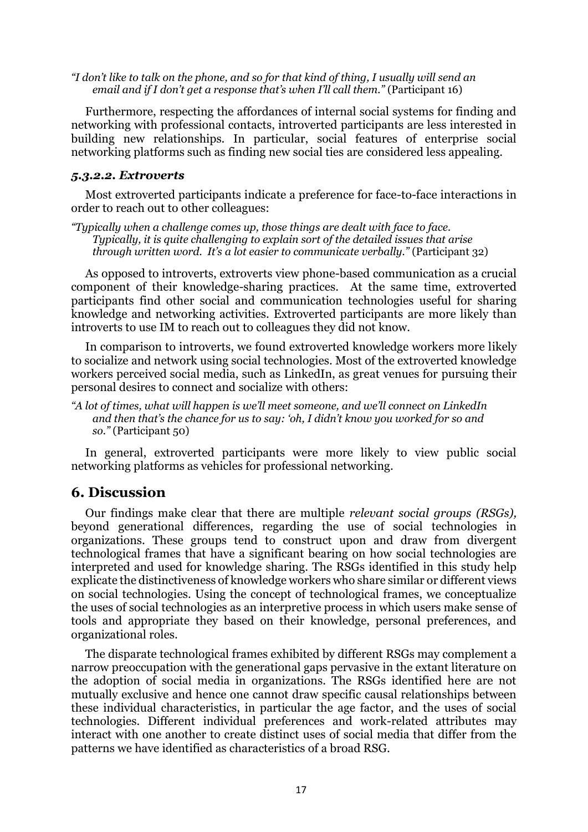*"I don't like to talk on the phone, and so for that kind of thing, I usually will send an email and if I don't get a response that's when I'll call them.*" (Participant 16)

Furthermore, respecting the affordances of internal social systems for finding and networking with professional contacts, introverted participants are less interested in building new relationships. In particular, social features of enterprise social networking platforms such as finding new social ties are considered less appealing.

#### *5.3.2.2. Extroverts*

Most extroverted participants indicate a preference for face-to-face interactions in order to reach out to other colleagues:

*"Typically when a challenge comes up, those things are dealt with face to face. Typically, it is quite challenging to explain sort of the detailed issues that arise through written word. It's a lot easier to communicate verbally."* (Participant 32)

As opposed to introverts, extroverts view phone-based communication as a crucial component of their knowledge-sharing practices. At the same time, extroverted participants find other social and communication technologies useful for sharing knowledge and networking activities. Extroverted participants are more likely than introverts to use IM to reach out to colleagues they did not know.

In comparison to introverts, we found extroverted knowledge workers more likely to socialize and network using social technologies. Most of the extroverted knowledge workers perceived social media, such as LinkedIn, as great venues for pursuing their personal desires to connect and socialize with others:

*"A lot of times, what will happen is we'll meet someone, and we'll connect on LinkedIn and then that's the chance for us to say: 'oh, I didn't know you worked for so and so."* (Participant 50)

In general, extroverted participants were more likely to view public social networking platforms as vehicles for professional networking.

# **6. Discussion**

Our findings make clear that there are multiple *relevant social groups (RSGs),*  beyond generational differences, regarding the use of social technologies in organizations. These groups tend to construct upon and draw from divergent technological frames that have a significant bearing on how social technologies are interpreted and used for knowledge sharing. The RSGs identified in this study help explicate the distinctiveness of knowledge workers who share similar or different views on social technologies. Using the concept of technological frames, we conceptualize the uses of social technologies as an interpretive process in which users make sense of tools and appropriate they based on their knowledge, personal preferences, and organizational roles.

The disparate technological frames exhibited by different RSGs may complement a narrow preoccupation with the generational gaps pervasive in the extant literature on the adoption of social media in organizations. The RSGs identified here are not mutually exclusive and hence one cannot draw specific causal relationships between these individual characteristics, in particular the age factor, and the uses of social technologies. Different individual preferences and work-related attributes may interact with one another to create distinct uses of social media that differ from the patterns we have identified as characteristics of a broad RSG.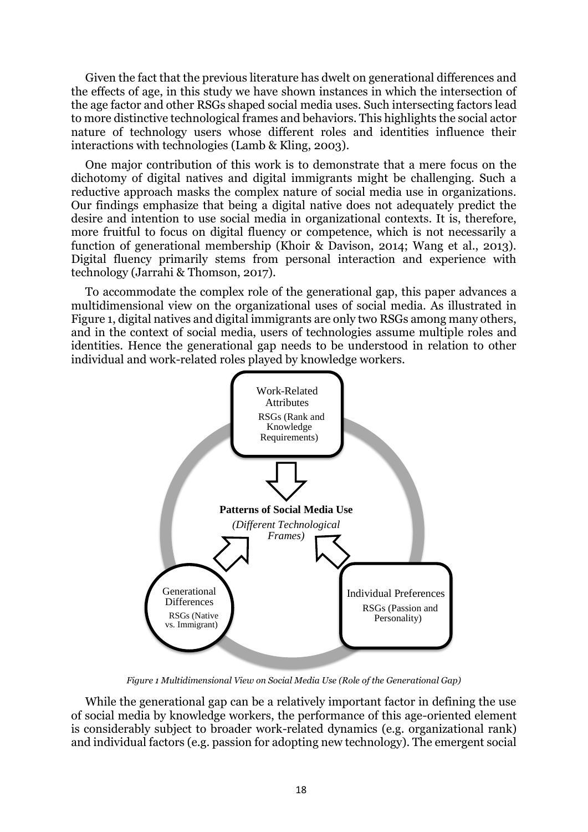Given the fact that the previous literature has dwelt on generational differences and the effects of age, in this study we have shown instances in which the intersection of the age factor and other RSGs shaped social media uses. Such intersecting factors lead to more distinctive technological frames and behaviors. This highlights the social actor nature of technology users whose different roles and identities influence their interactions with technologies (Lamb & Kling, 2003).

One major contribution of this work is to demonstrate that a mere focus on the dichotomy of digital natives and digital immigrants might be challenging. Such a reductive approach masks the complex nature of social media use in organizations. Our findings emphasize that being a digital native does not adequately predict the desire and intention to use social media in organizational contexts. It is, therefore, more fruitful to focus on digital fluency or competence, which is not necessarily a function of generational membership (Khoir & Davison, 2014; Wang et al., 2013). Digital fluency primarily stems from personal interaction and experience with technology (Jarrahi & Thomson, 2017).

To accommodate the complex role of the generational gap, this paper advances a multidimensional view on the organizational uses of social media. As illustrated in Figure 1, digital natives and digital immigrants are only two RSGs among many others, and in the context of social media, users of technologies assume multiple roles and identities. Hence the generational gap needs to be understood in relation to other individual and work-related roles played by knowledge workers.



*Figure 1 Multidimensional View on Social Media Use (Role of the Generational Gap)*

While the generational gap can be a relatively important factor in defining the use of social media by knowledge workers, the performance of this age-oriented element is considerably subject to broader work-related dynamics (e.g. organizational rank) and individual factors (e.g. passion for adopting new technology). The emergent social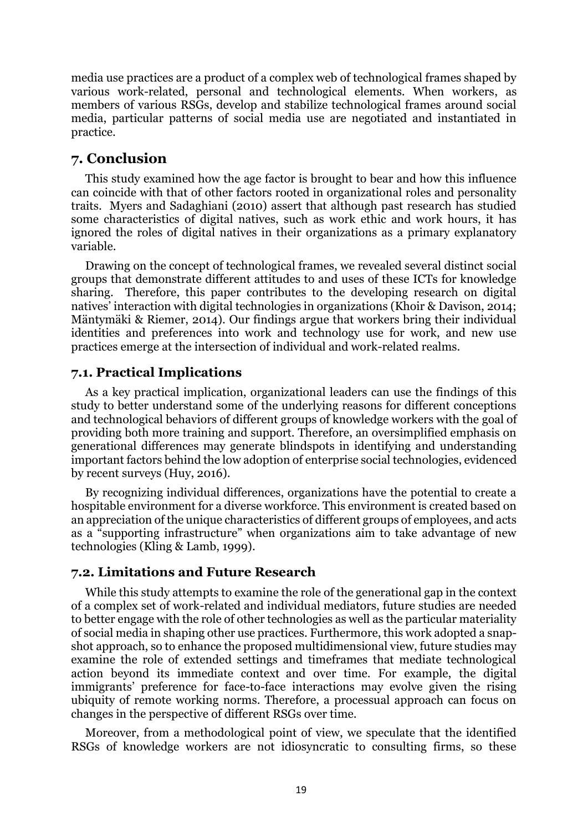media use practices are a product of a complex web of technological frames shaped by various work-related, personal and technological elements. When workers, as members of various RSGs, develop and stabilize technological frames around social media, particular patterns of social media use are negotiated and instantiated in practice.

# **7. Conclusion**

This study examined how the age factor is brought to bear and how this influence can coincide with that of other factors rooted in organizational roles and personality traits. Myers and Sadaghiani (2010) assert that although past research has studied some characteristics of digital natives, such as work ethic and work hours, it has ignored the roles of digital natives in their organizations as a primary explanatory variable.

Drawing on the concept of technological frames, we revealed several distinct social groups that demonstrate different attitudes to and uses of these ICTs for knowledge sharing. Therefore, this paper contributes to the developing research on digital natives' interaction with digital technologies in organizations (Khoir & Davison, 2014; Mäntymäki & Riemer, 2014). Our findings argue that workers bring their individual identities and preferences into work and technology use for work, and new use practices emerge at the intersection of individual and work-related realms.

### **7.1. Practical Implications**

As a key practical implication, organizational leaders can use the findings of this study to better understand some of the underlying reasons for different conceptions and technological behaviors of different groups of knowledge workers with the goal of providing both more training and support. Therefore, an oversimplified emphasis on generational differences may generate blindspots in identifying and understanding important factors behind the low adoption of enterprise social technologies, evidenced by recent surveys (Huy, 2016).

By recognizing individual differences, organizations have the potential to create a hospitable environment for a diverse workforce. This environment is created based on an appreciation of the unique characteristics of different groups of employees, and acts as a "supporting infrastructure" when organizations aim to take advantage of new technologies (Kling & Lamb, 1999).

### **7.2. Limitations and Future Research**

While this study attempts to examine the role of the generational gap in the context of a complex set of work-related and individual mediators, future studies are needed to better engage with the role of other technologies as well as the particular materiality of social media in shaping other use practices. Furthermore, this work adopted a snapshot approach, so to enhance the proposed multidimensional view, future studies may examine the role of extended settings and timeframes that mediate technological action beyond its immediate context and over time. For example, the digital immigrants' preference for face-to-face interactions may evolve given the rising ubiquity of remote working norms. Therefore, a processual approach can focus on changes in the perspective of different RSGs over time.

Moreover, from a methodological point of view, we speculate that the identified RSGs of knowledge workers are not idiosyncratic to consulting firms, so these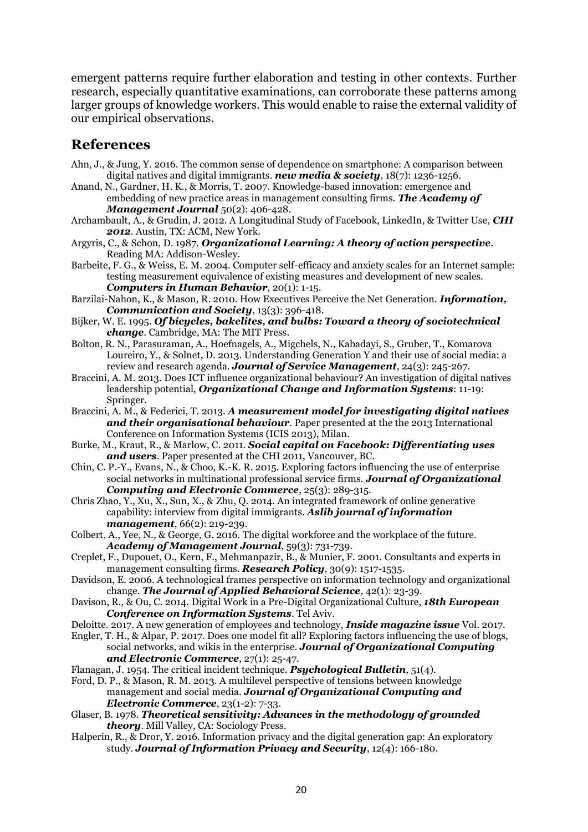emergent patterns require further elaboration and testing in other contexts. Further research, especially quantitative examinations, can corroborate these patterns among larger groups of knowledge workers. This would enable to raise the external validity of our empirical observations.

# **References**

- Ahn, J., & Jung, Y. 2016. The common sense of dependence on smartphone: A comparison between digital natives and digital immigrants. *new media & society*, 18(7): 1236-1256.
- Anand, N., Gardner, H. K., & Morris, T. 2007. Knowledge-based innovation: emergence and embedding of new practice areas in management consulting firms. *The Academy of Management Journal* 50(2): 406-428.
- Archambault, A., & Grudin, J. 2012. A Longitudinal Study of Facebook, LinkedIn, & Twitter Use, *CHI 2012*. Austin, TX: ACM, New York.
- Argyris, C., & Schon, D. 1987. *Organizational Learning: A theory of action perspective*. Reading MA: Addison-Wesley.
- Barbeite, F. G., & Weiss, E. M. 2004. Computer self-efficacy and anxiety scales for an Internet sample: testing measurement equivalence of existing measures and development of new scales. *Computers in Human Behavior*, 20(1): 1-15.
- Barzilai-Nahon, K., & Mason, R. 2010. How Executives Perceive the Net Generation. *Information, Communication and Society*, 13(3): 396-418.
- Bijker, W. E. 1995. *Of bicycles, bakelites, and bulbs: Toward a theory of sociotechnical change*. Cambridge, MA: The MIT Press.
- Bolton, R. N., Parasuraman, A., Hoefnagels, A., Migchels, N., Kabadayi, S., Gruber, T., Komarova Loureiro, Y., & Solnet, D. 2013. Understanding Generation Y and their use of social media: a review and research agenda. *Journal of Service Management*, 24(3): 245-267.
- Braccini, A. M. 2013. Does ICT influence organizational behaviour? An investigation of digital natives leadership potential, *Organizational Change and Information Systems*: 11-19: Springer.
- Braccini, A. M., & Federici, T. 2013. *A measurement model for investigating digital natives and their organisational behaviour*. Paper presented at the the 2013 International Conference on Information Systems (ICIS 2013), Milan.
- Burke, M., Kraut, R., & Marlow, C. 2011. *Social capital on Facebook: Differentiating uses and users*. Paper presented at the CHI 2011, Vancouver, BC.
- Chin, C. P.-Y., Evans, N., & Choo, K.-K. R. 2015. Exploring factors influencing the use of enterprise social networks in multinational professional service firms. *Journal of Organizational Computing and Electronic Commerce*, 25(3): 289-315.
- Chris Zhao, Y., Xu, X., Sun, X., & Zhu, Q. 2014. An integrated framework of online generative capability: interview from digital immigrants. *Aslib journal of information management*, 66(2): 219-239.
- Colbert, A., Yee, N., & George, G. 2016. The digital workforce and the workplace of the future. *Academy of Management Journal*, 59(3): 731-739.
- Creplet, F., Dupouet, O., Kern, F., Mehmanpazir, B., & Munier, F. 2001. Consultants and experts in management consulting firms. *Research Policy*, 30(9): 1517-1535.
- Davidson, E. 2006. A technological frames perspective on information technology and organizational change. *The Journal of Applied Behavioral Science*, 42(1): 23-39.
- Davison, R., & Ou, C. 2014. Digital Work in a Pre-Digital Organizational Culture, *18th European Conference on Information Systems*. Tel Aviv.
- Deloitte. 2017. A new generation of employees and technology, *Inside magazine issue* Vol. 2017.
- Engler, T. H., & Alpar, P. 2017. Does one model fit all? Exploring factors influencing the use of blogs, social networks, and wikis in the enterprise. *Journal of Organizational Computing and Electronic Commerce*, 27(1): 25-47.
- Flanagan, J. 1954. The critical incident technique. *Psychological Bulletin*, 51(4).
- Ford, D. P., & Mason, R. M. 2013. A multilevel perspective of tensions between knowledge management and social media. *Journal of Organizational Computing and Electronic Commerce*, 23(1-2): 7-33.
- Glaser, B. 1978. *Theoretical sensitivity: Advances in the methodology of grounded theory*. Mill Valley, CA: Sociology Press.
- Halperin, R., & Dror, Y. 2016. Information privacy and the digital generation gap: An exploratory study. *Journal of Information Privacy and Security*, 12(4): 166-180.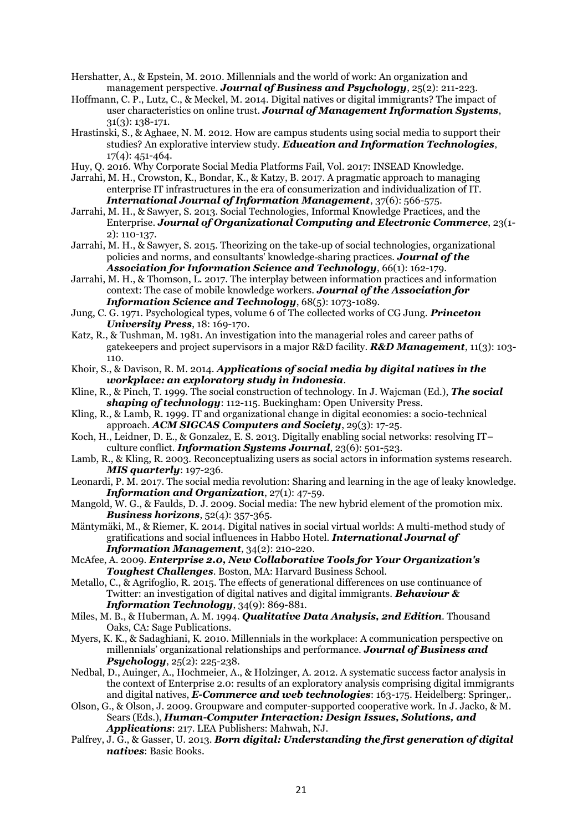- Hershatter, A., & Epstein, M. 2010. Millennials and the world of work: An organization and management perspective. *Journal of Business and Psychology*, 25(2): 211-223.
- Hoffmann, C. P., Lutz, C., & Meckel, M. 2014. Digital natives or digital immigrants? The impact of user characteristics on online trust. *Journal of Management Information Systems*, 31(3): 138-171.
- Hrastinski, S., & Aghaee, N. M. 2012. How are campus students using social media to support their studies? An explorative interview study. *Education and Information Technologies*, 17(4): 451-464.
- Huy, Q. 2016. Why Corporate Social Media Platforms Fail, Vol. 2017: INSEAD Knowledge.
- Jarrahi, M. H., Crowston, K., Bondar, K., & Katzy, B. 2017. A pragmatic approach to managing enterprise IT infrastructures in the era of consumerization and individualization of IT. *International Journal of Information Management*, 37(6): 566-575.
- Jarrahi, M. H., & Sawyer, S. 2013. Social Technologies, Informal Knowledge Practices, and the Enterprise. *Journal of Organizational Computing and Electronic Commerce*, 23(1- 2): 110-137.
- Jarrahi, M. H., & Sawyer, S. 2015. Theorizing on the take‐up of social technologies, organizational policies and norms, and consultants' knowledge‐sharing practices. *Journal of the Association for Information Science and Technology*, 66(1): 162-179.
- Jarrahi, M. H., & Thomson, L. 2017. The interplay between information practices and information context: The case of mobile knowledge workers. *Journal of the Association for Information Science and Technology*, 68(5): 1073-1089.
- Jung, C. G. 1971. Psychological types, volume 6 of The collected works of CG Jung. *Princeton University Press*, 18: 169-170.
- Katz, R., & Tushman, M. 1981. An investigation into the managerial roles and career paths of gatekeepers and project supervisors in a major R&D facility. *R&D Management*, 11(3): 103- 110.
- Khoir, S., & Davison, R. M. 2014. *Applications of social media by digital natives in the workplace: an exploratory study in Indonesia*.
- Kline, R., & Pinch, T. 1999. The social construction of technology. In J. Wajcman (Ed.), *The social shaping of technology*: 112-115. Buckingham: Open University Press.
- Kling, R., & Lamb, R. 1999. IT and organizational change in digital economies: a socio-technical approach. *ACM SIGCAS Computers and Society*, 29(3): 17-25.
- Koch, H., Leidner, D. E., & Gonzalez, E. S. 2013. Digitally enabling social networks: resolving IT– culture conflict. *Information Systems Journal*, 23(6): 501-523.
- Lamb, R., & Kling, R. 2003. Reconceptualizing users as social actors in information systems research. *MIS quarterly*: 197-236.
- Leonardi, P. M. 2017. The social media revolution: Sharing and learning in the age of leaky knowledge. *Information and Organization*, 27(1): 47-59.
- Mangold, W. G., & Faulds, D. J. 2009. Social media: The new hybrid element of the promotion mix. *Business horizons*, 52(4): 357-365.
- Mäntymäki, M., & Riemer, K. 2014. Digital natives in social virtual worlds: A multi-method study of gratifications and social influences in Habbo Hotel. *International Journal of Information Management*, 34(2): 210-220.
- McAfee, A. 2009. *Enterprise 2.0, New Collaborative Tools for Your Organization's Toughest Challenges*. Boston, MA: Harvard Business School.
- Metallo, C., & Agrifoglio, R. 2015. The effects of generational differences on use continuance of Twitter: an investigation of digital natives and digital immigrants. *Behaviour & Information Technology*, 34(9): 869-881.
- Miles, M. B., & Huberman, A. M. 1994. *Qualitative Data Analysis, 2nd Edition*. Thousand Oaks, CA: Sage Publications.
- Myers, K. K., & Sadaghiani, K. 2010. Millennials in the workplace: A communication perspective on millennials' organizational relationships and performance. *Journal of Business and Psychology*, 25(2): 225-238.
- Nedbal, D., Auinger, A., Hochmeier, A., & Holzinger, A. 2012. A systematic success factor analysis in the context of Enterprise 2.0: results of an exploratory analysis comprising digital immigrants and digital natives, *E-Commerce and web technologies*: 163-175. Heidelberg: Springer,.
- Olson, G., & Olson, J. 2009. Groupware and computer-supported cooperative work. In J. Jacko, & M. Sears (Eds.), *Human-Computer Interaction: Design Issues, Solutions, and Applications*: 217. LEA Publishers: Mahwah, NJ.
- Palfrey, J. G., & Gasser, U. 2013. *Born digital: Understanding the first generation of digital natives*: Basic Books.